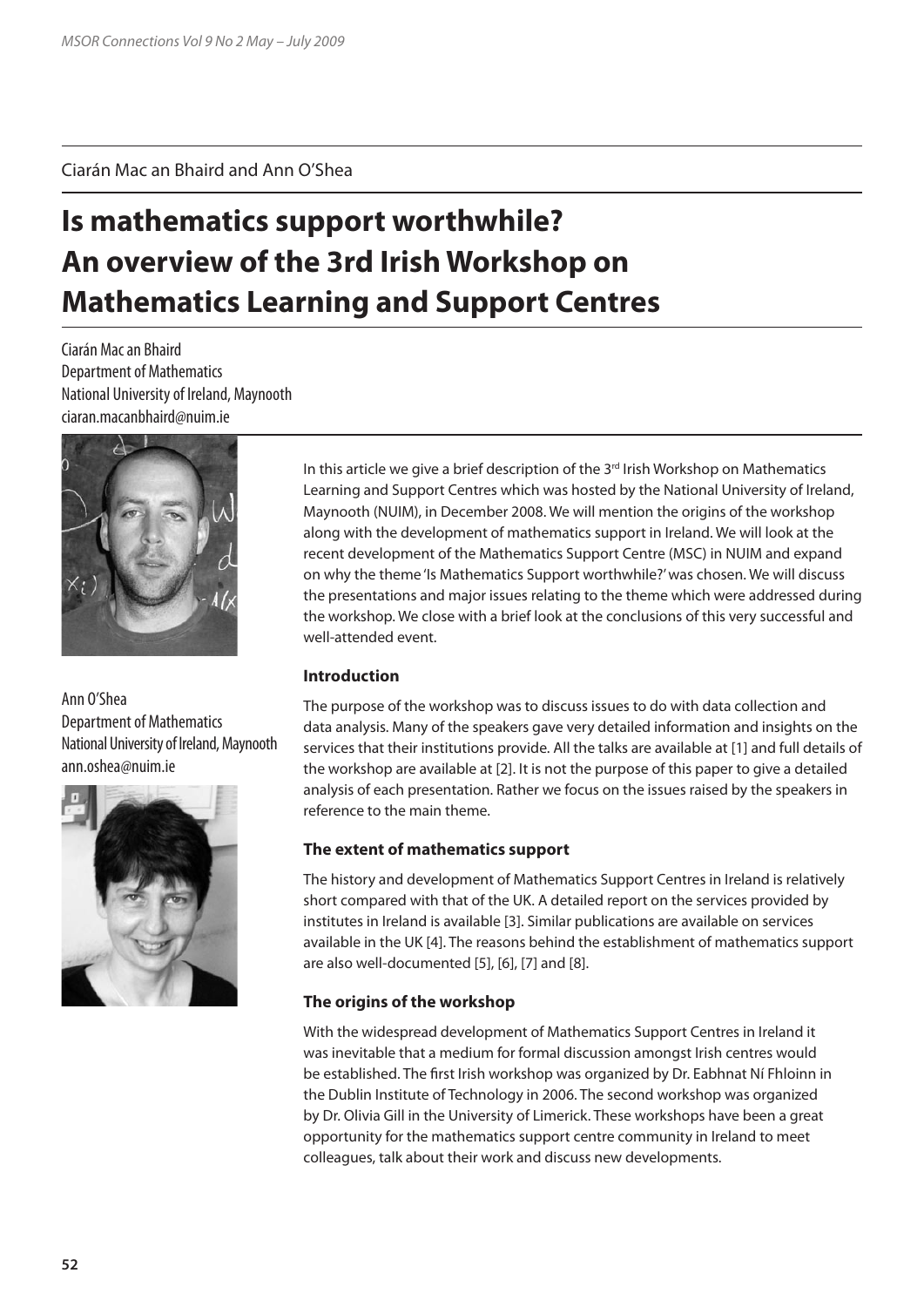Ciarán Mac an Bhaird and Ann O'Shea

# **Is mathematics support worthwhile? An overview of the 3rd Irish Workshop on Mathematics Learning and Support Centres**

Ciarán Mac an Bhaird Department of Mathematics National University of Ireland, Maynooth ciaran.macanbhaird@nuim.ie



Ann O'Shea Department of Mathematics National University of Ireland, Maynooth ann.oshea@nuim.ie



In this article we give a brief description of the  $3<sup>rd</sup>$  Irish Workshop on Mathematics Learning and Support Centres which was hosted by the National University of Ireland, Maynooth (NUIM), in December 2008. We will mention the origins of the workshop along with the development of mathematics support in Ireland. We will look at the recent development of the Mathematics Support Centre (MSC) in NUIM and expand on why the theme 'Is Mathematics Support worthwhile?' was chosen. We will discuss the presentations and major issues relating to the theme which were addressed during the workshop. We close with a brief look at the conclusions of this very successful and well-attended event.

# **Introduction**

The purpose of the workshop was to discuss issues to do with data collection and data analysis. Many of the speakers gave very detailed information and insights on the services that their institutions provide. All the talks are available at [1] and full details of the workshop are available at [2]. It is not the purpose of this paper to give a detailed analysis of each presentation. Rather we focus on the issues raised by the speakers in reference to the main theme.

## **The extent of mathematics support**

The history and development of Mathematics Support Centres in Ireland is relatively short compared with that of the UK. A detailed report on the services provided by institutes in Ireland is available [3]. Similar publications are available on services available in the UK [4]. The reasons behind the establishment of mathematics support are also well-documented [5], [6], [7] and [8].

## **The origins of the workshop**

With the widespread development of Mathematics Support Centres in Ireland it was inevitable that a medium for formal discussion amongst Irish centres would be established. The first Irish workshop was organized by Dr. Eabhnat Ní Fhloinn in the Dublin Institute of Technology in 2006. The second workshop was organized by Dr. Olivia Gill in the University of Limerick. These workshops have been a great opportunity for the mathematics support centre community in Ireland to meet colleagues, talk about their work and discuss new developments.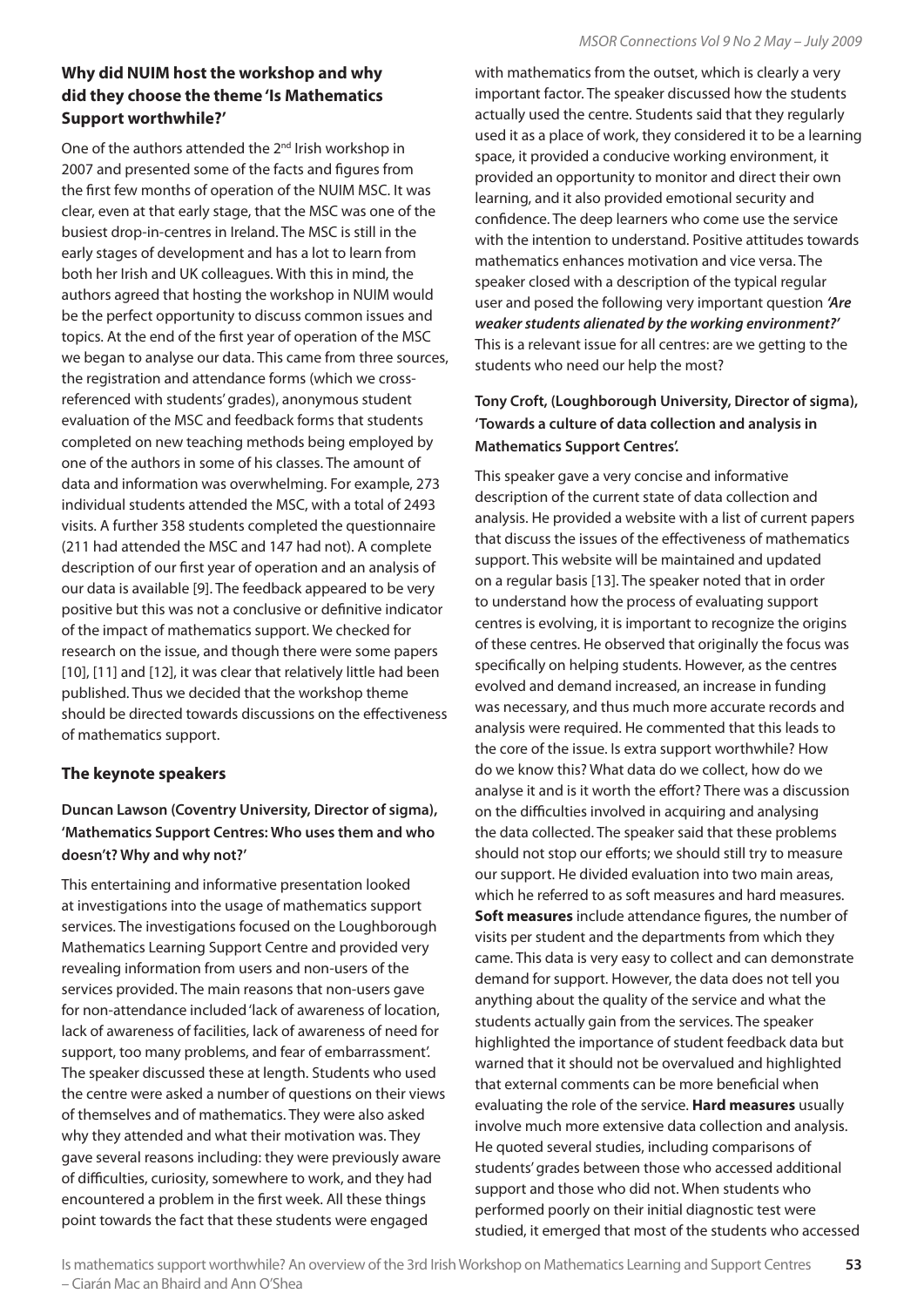# **Why did NUIM host the workshop and why did they choose the theme 'Is Mathematics Support worthwhile?'**

One of the authors attended the 2<sup>nd</sup> Irish workshop in 2007 and presented some of the facts and figures from the first few months of operation of the NUIM MSC. It was clear, even at that early stage, that the MSC was one of the busiest drop-in-centres in Ireland. The MSC is still in the early stages of development and has a lot to learn from both her Irish and UK colleagues. With this in mind, the authors agreed that hosting the workshop in NUIM would be the perfect opportunity to discuss common issues and topics. At the end of the first year of operation of the MSC we began to analyse our data. This came from three sources, the registration and attendance forms (which we crossreferenced with students' grades), anonymous student evaluation of the MSC and feedback forms that students completed on new teaching methods being employed by one of the authors in some of his classes. The amount of data and information was overwhelming. For example, 273 individual students attended the MSC, with a total of 2493 visits. A further 358 students completed the questionnaire (211 had attended the MSC and 147 had not). A complete description of our first year of operation and an analysis of our data is available [9]. The feedback appeared to be very positive but this was not a conclusive or definitive indicator of the impact of mathematics support. We checked for research on the issue, and though there were some papers [10], [11] and [12], it was clear that relatively little had been published. Thus we decided that the workshop theme should be directed towards discussions on the effectiveness of mathematics support.

## **The keynote speakers**

# **Duncan Lawson (Coventry University, Director of sigma), 'Mathematics Support Centres: Who uses them and who doesn't? Why and why not?'**

This entertaining and informative presentation looked at investigations into the usage of mathematics support services. The investigations focused on the Loughborough Mathematics Learning Support Centre and provided very revealing information from users and non-users of the services provided. The main reasons that non-users gave for non-attendance included 'lack of awareness of location, lack of awareness of facilities, lack of awareness of need for support, too many problems, and fear of embarrassment'. The speaker discussed these at length. Students who used the centre were asked a number of questions on their views of themselves and of mathematics. They were also asked why they attended and what their motivation was. They gave several reasons including: they were previously aware of difficulties, curiosity, somewhere to work, and they had encountered a problem in the first week. All these things point towards the fact that these students were engaged

with mathematics from the outset, which is clearly a very important factor. The speaker discussed how the students actually used the centre. Students said that they regularly used it as a place of work, they considered it to be a learning space, it provided a conducive working environment, it provided an opportunity to monitor and direct their own learning, and it also provided emotional security and confidence. The deep learners who come use the service with the intention to understand. Positive attitudes towards mathematics enhances motivation and vice versa. The speaker closed with a description of the typical regular user and posed the following very important question *'Are weaker students alienated by the working environment?'* This is a relevant issue for all centres: are we getting to the students who need our help the most?

# **Tony Croft, (Loughborough University, Director of sigma), 'Towards a culture of data collection and analysis in Mathematics Support Centres'.**

This speaker gave a very concise and informative description of the current state of data collection and analysis. He provided a website with a list of current papers that discuss the issues of the effectiveness of mathematics support. This website will be maintained and updated on a regular basis [13]. The speaker noted that in order to understand how the process of evaluating support centres is evolving, it is important to recognize the origins of these centres. He observed that originally the focus was specifically on helping students. However, as the centres evolved and demand increased, an increase in funding was necessary, and thus much more accurate records and analysis were required. He commented that this leads to the core of the issue. Is extra support worthwhile? How do we know this? What data do we collect, how do we analyse it and is it worth the effort? There was a discussion on the difficulties involved in acquiring and analysing the data collected. The speaker said that these problems should not stop our efforts; we should still try to measure our support. He divided evaluation into two main areas, which he referred to as soft measures and hard measures. **Soft measures** include attendance figures, the number of visits per student and the departments from which they came. This data is very easy to collect and can demonstrate demand for support. However, the data does not tell you anything about the quality of the service and what the students actually gain from the services. The speaker highlighted the importance of student feedback data but warned that it should not be overvalued and highlighted that external comments can be more beneficial when evaluating the role of the service. **Hard measures** usually involve much more extensive data collection and analysis. He quoted several studies, including comparisons of students' grades between those who accessed additional support and those who did not. When students who performed poorly on their initial diagnostic test were studied, it emerged that most of the students who accessed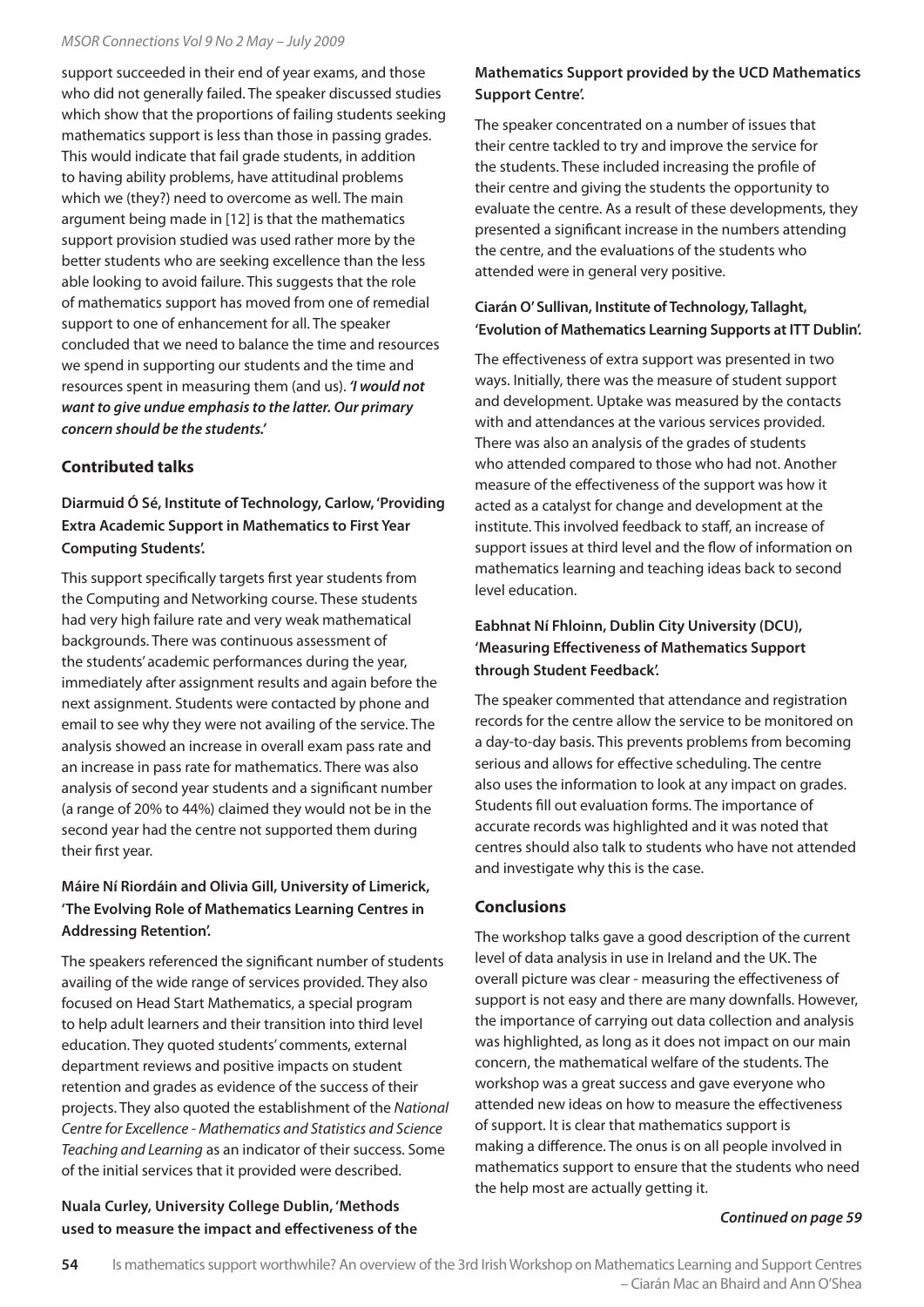#### *MSOR Connections Vol 9 No 2 May – July 2009*

support succeeded in their end of year exams, and those who did not generally failed. The speaker discussed studies which show that the proportions of failing students seeking mathematics support is less than those in passing grades. This would indicate that fail grade students, in addition to having ability problems, have attitudinal problems which we (they?) need to overcome as well. The main argument being made in [12] is that the mathematics support provision studied was used rather more by the better students who are seeking excellence than the less able looking to avoid failure. This suggests that the role of mathematics support has moved from one of remedial support to one of enhancement for all. The speaker concluded that we need to balance the time and resources we spend in supporting our students and the time and resources spent in measuring them (and us). *'I would not want to give undue emphasis to the latter. Our primary concern should be the students.'*

## **Contributed talks**

**Diarmuid Ó Sé, Institute of Technology, Carlow, 'Providing Extra Academic Support in Mathematics to First Year Computing Students'.**

This support specifically targets first year students from the Computing and Networking course. These students had very high failure rate and very weak mathematical backgrounds. There was continuous assessment of the students' academic performances during the year, immediately after assignment results and again before the next assignment. Students were contacted by phone and email to see why they were not availing of the service. The analysis showed an increase in overall exam pass rate and an increase in pass rate for mathematics. There was also analysis of second year students and a significant number (a range of 20% to 44%) claimed they would not be in the second year had the centre not supported them during their first year.

# **Máire Ní Riordáin and Olivia Gill, University of Limerick, 'The Evolving Role of Mathematics Learning Centres in Addressing Retention'.**

The speakers referenced the significant number of students availing of the wide range of services provided. They also focused on Head Start Mathematics, a special program to help adult learners and their transition into third level education. They quoted students' comments, external department reviews and positive impacts on student retention and grades as evidence of the success of their projects. They also quoted the establishment of the *National Centre for Excellence - Mathematics and Statistics and Science Teaching and Learning* as an indicator of their success. Some of the initial services that it provided were described.

## **Nuala Curley, University College Dublin, 'Methods used to measure the impact and effectiveness of the**

# **Mathematics Support provided by the UCD Mathematics Support Centre'.**

The speaker concentrated on a number of issues that their centre tackled to try and improve the service for the students. These included increasing the profile of their centre and giving the students the opportunity to evaluate the centre. As a result of these developments, they presented a significant increase in the numbers attending the centre, and the evaluations of the students who attended were in general very positive.

## **Ciarán O' Sullivan, Institute of Technology, Tallaght, 'Evolution of Mathematics Learning Supports at ITT Dublin'.**

The effectiveness of extra support was presented in two ways. Initially, there was the measure of student support and development. Uptake was measured by the contacts with and attendances at the various services provided. There was also an analysis of the grades of students who attended compared to those who had not. Another measure of the effectiveness of the support was how it acted as a catalyst for change and development at the institute. This involved feedback to staff, an increase of support issues at third level and the flow of information on mathematics learning and teaching ideas back to second level education.

# **Eabhnat Ní Fhloinn, Dublin City University (DCU), 'Measuring Effectiveness of Mathematics Support through Student Feedback'.**

The speaker commented that attendance and registration records for the centre allow the service to be monitored on a day-to-day basis. This prevents problems from becoming serious and allows for effective scheduling. The centre also uses the information to look at any impact on grades. Students fill out evaluation forms. The importance of accurate records was highlighted and it was noted that centres should also talk to students who have not attended and investigate why this is the case.

## **Conclusions**

The workshop talks gave a good description of the current level of data analysis in use in Ireland and the UK. The overall picture was clear - measuring the effectiveness of support is not easy and there are many downfalls. However, the importance of carrying out data collection and analysis was highlighted, as long as it does not impact on our main concern, the mathematical welfare of the students. The workshop was a great success and gave everyone who attended new ideas on how to measure the effectiveness of support. It is clear that mathematics support is making a difference. The onus is on all people involved in mathematics support to ensure that the students who need the help most are actually getting it.

#### *Continued on page 59*